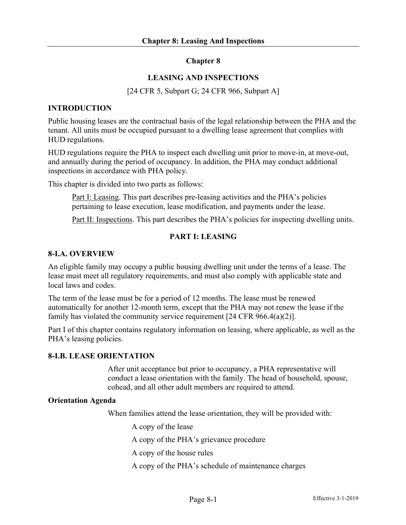## **Chapter 8**

## **LEASING AND INSPECTIONS**

[24 CFR 5, Subpart G; 24 CFR 966, Subpart A]

#### **INTRODUCTION**

Public housing leases are the contractual basis of the legal relationship between the PHA and the tenant. All units must be occupied pursuant to a dwelling lease agreement that complies with HUD regulations.

HUD regulations require the PHA to inspect each dwelling unit prior to move-in, at move-out, and annually during the period of occupancy. In addition, the PHA may conduct additional inspections in accordance with PHA policy.

This chapter is divided into two parts as follows:

Part I: Leasing. This part describes pre-leasing activities and the PHA's policies pertaining to lease execution, lease modification, and payments under the lease.

Part II: Inspections. This part describes the PHA's policies for inspecting dwelling units.

#### **PART I: LEASING**

#### **8-I.A. OVERVIEW**

An eligible family may occupy a public housing dwelling unit under the terms of a lease. The lease must meet all regulatory requirements, and must also comply with applicable state and local laws and codes.

The term of the lease must be for a period of 12 months. The lease must be renewed automatically for another 12-month term, except that the PHA may not renew the lease if the family has violated the community service requirement [24 CFR 966.4(a)(2)].

Part I of this chapter contains regulatory information on leasing, where applicable, as well as the PHA's leasing policies.

#### **8-I.B. LEASE ORIENTATION**

After unit acceptance but prior to occupancy, a PHA representative will conduct a lease orientation with the family. The head of household, spouse, cohead, and all other adult members are required to attend.

#### **Orientation Agenda**

When families attend the lease orientation, they will be provided with:

A copy of the lease

A copy of the PHA's grievance procedure

A copy of the house rules

A copy of the PHA's schedule of maintenance charges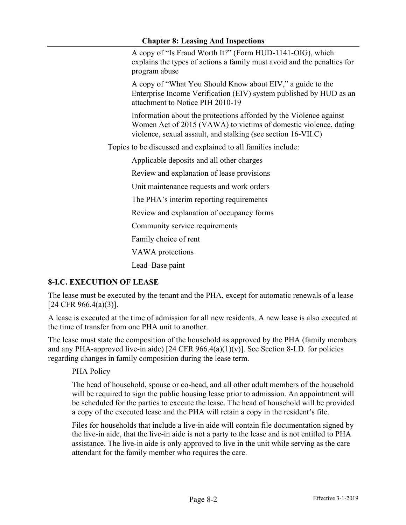A copy of "Is Fraud Worth It?" (Form HUD-1141-OIG), which explains the types of actions a family must avoid and the penalties for program abuse

A copy of "What You Should Know about EIV," a guide to the Enterprise Income Verification (EIV) system published by HUD as an attachment to Notice PIH 2010-19

Information about the protections afforded by the Violence against Women Act of 2015 (VAWA) to victims of domestic violence, dating violence, sexual assault, and stalking (see section 16-VII.C)

Topics to be discussed and explained to all families include:

Applicable deposits and all other charges

Review and explanation of lease provisions

Unit maintenance requests and work orders

The PHA's interim reporting requirements

Review and explanation of occupancy forms

Community service requirements

Family choice of rent

VAWA protections

Lead–Base paint

# **8-I.C. EXECUTION OF LEASE**

The lease must be executed by the tenant and the PHA, except for automatic renewals of a lease [24 CFR 966.4(a)(3)].

A lease is executed at the time of admission for all new residents. A new lease is also executed at the time of transfer from one PHA unit to another.

The lease must state the composition of the household as approved by the PHA (family members and any PHA-approved live-in aide) [24 CFR  $966.4(a)(1)(v)$ ]. See Section 8-I.D. for policies regarding changes in family composition during the lease term.

# PHA Policy

The head of household, spouse or co-head, and all other adult members of the household will be required to sign the public housing lease prior to admission. An appointment will be scheduled for the parties to execute the lease. The head of household will be provided a copy of the executed lease and the PHA will retain a copy in the resident's file.

Files for households that include a live-in aide will contain file documentation signed by the live-in aide, that the live-in aide is not a party to the lease and is not entitled to PHA assistance. The live-in aide is only approved to live in the unit while serving as the care attendant for the family member who requires the care.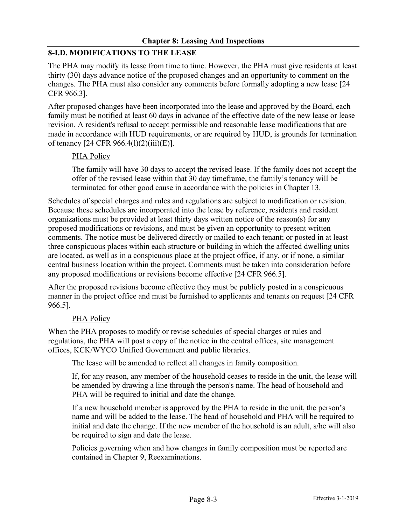# **8-I.D. MODIFICATIONS TO THE LEASE**

The PHA may modify its lease from time to time. However, the PHA must give residents at least thirty (30) days advance notice of the proposed changes and an opportunity to comment on the changes. The PHA must also consider any comments before formally adopting a new lease [24 CFR 966.3].

After proposed changes have been incorporated into the lease and approved by the Board, each family must be notified at least 60 days in advance of the effective date of the new lease or lease revision. A resident's refusal to accept permissible and reasonable lease modifications that are made in accordance with HUD requirements, or are required by HUD, is grounds for termination of tenancy [24 CFR 966.4(l)(2)(iii)(E)].

# PHA Policy

The family will have 30 days to accept the revised lease. If the family does not accept the offer of the revised lease within that 30 day timeframe, the family's tenancy will be terminated for other good cause in accordance with the policies in Chapter 13.

Schedules of special charges and rules and regulations are subject to modification or revision. Because these schedules are incorporated into the lease by reference, residents and resident organizations must be provided at least thirty days written notice of the reason(s) for any proposed modifications or revisions, and must be given an opportunity to present written comments. The notice must be delivered directly or mailed to each tenant; or posted in at least three conspicuous places within each structure or building in which the affected dwelling units are located, as well as in a conspicuous place at the project office, if any, or if none, a similar central business location within the project. Comments must be taken into consideration before any proposed modifications or revisions become effective [24 CFR 966.5].

After the proposed revisions become effective they must be publicly posted in a conspicuous manner in the project office and must be furnished to applicants and tenants on request [24 CFR 966.5].

# PHA Policy

When the PHA proposes to modify or revise schedules of special charges or rules and regulations, the PHA will post a copy of the notice in the central offices, site management offices, KCK/WYCO Unified Government and public libraries.

The lease will be amended to reflect all changes in family composition.

If, for any reason, any member of the household ceases to reside in the unit, the lease will be amended by drawing a line through the person's name. The head of household and PHA will be required to initial and date the change.

If a new household member is approved by the PHA to reside in the unit, the person's name and will be added to the lease. The head of household and PHA will be required to initial and date the change. If the new member of the household is an adult, s/he will also be required to sign and date the lease.

Policies governing when and how changes in family composition must be reported are contained in Chapter 9, Reexaminations.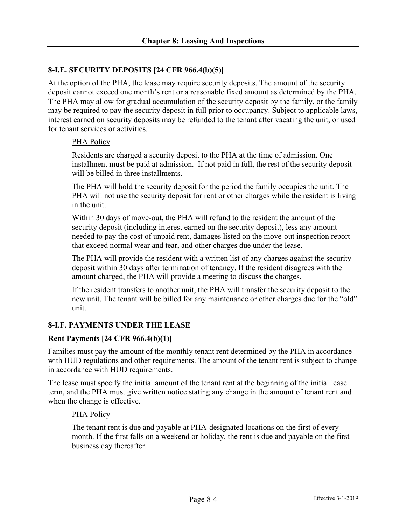# **8-I.E. SECURITY DEPOSITS [24 CFR 966.4(b)(5)]**

At the option of the PHA, the lease may require security deposits. The amount of the security deposit cannot exceed one month's rent or a reasonable fixed amount as determined by the PHA. The PHA may allow for gradual accumulation of the security deposit by the family, or the family may be required to pay the security deposit in full prior to occupancy. Subject to applicable laws, interest earned on security deposits may be refunded to the tenant after vacating the unit, or used for tenant services or activities.

## PHA Policy

Residents are charged a security deposit to the PHA at the time of admission. One installment must be paid at admission. If not paid in full, the rest of the security deposit will be billed in three installments.

The PHA will hold the security deposit for the period the family occupies the unit. The PHA will not use the security deposit for rent or other charges while the resident is living in the unit.

Within 30 days of move-out, the PHA will refund to the resident the amount of the security deposit (including interest earned on the security deposit), less any amount needed to pay the cost of unpaid rent, damages listed on the move-out inspection report that exceed normal wear and tear, and other charges due under the lease.

The PHA will provide the resident with a written list of any charges against the security deposit within 30 days after termination of tenancy. If the resident disagrees with the amount charged, the PHA will provide a meeting to discuss the charges.

If the resident transfers to another unit, the PHA will transfer the security deposit to the new unit. The tenant will be billed for any maintenance or other charges due for the "old" unit.

# **8-I.F. PAYMENTS UNDER THE LEASE**

#### **Rent Payments [24 CFR 966.4(b)(1)]**

Families must pay the amount of the monthly tenant rent determined by the PHA in accordance with HUD regulations and other requirements. The amount of the tenant rent is subject to change in accordance with HUD requirements.

The lease must specify the initial amount of the tenant rent at the beginning of the initial lease term, and the PHA must give written notice stating any change in the amount of tenant rent and when the change is effective.

#### PHA Policy

The tenant rent is due and payable at PHA-designated locations on the first of every month. If the first falls on a weekend or holiday, the rent is due and payable on the first business day thereafter.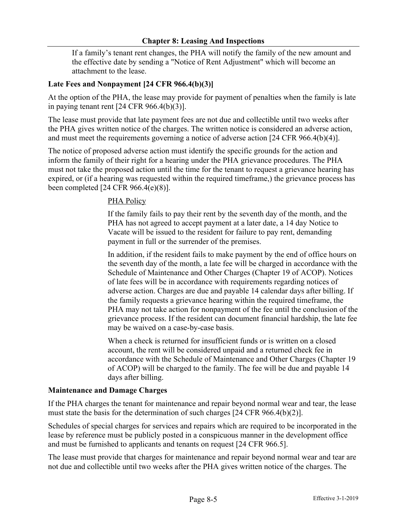## **Chapter 8: Leasing And Inspections**

If a family's tenant rent changes, the PHA will notify the family of the new amount and the effective date by sending a "Notice of Rent Adjustment" which will become an attachment to the lease.

## **Late Fees and Nonpayment [24 CFR 966.4(b)(3)]**

At the option of the PHA, the lease may provide for payment of penalties when the family is late in paying tenant rent [24 CFR 966.4(b)(3)].

The lease must provide that late payment fees are not due and collectible until two weeks after the PHA gives written notice of the charges. The written notice is considered an adverse action, and must meet the requirements governing a notice of adverse action [24 CFR 966.4(b)(4)].

The notice of proposed adverse action must identify the specific grounds for the action and inform the family of their right for a hearing under the PHA grievance procedures. The PHA must not take the proposed action until the time for the tenant to request a grievance hearing has expired, or (if a hearing was requested within the required timeframe,) the grievance process has been completed [24 CFR 966.4(e)(8)].

## PHA Policy

If the family fails to pay their rent by the seventh day of the month, and the PHA has not agreed to accept payment at a later date, a 14 day Notice to Vacate will be issued to the resident for failure to pay rent, demanding payment in full or the surrender of the premises.

In addition, if the resident fails to make payment by the end of office hours on the seventh day of the month, a late fee will be charged in accordance with the Schedule of Maintenance and Other Charges (Chapter 19 of ACOP). Notices of late fees will be in accordance with requirements regarding notices of adverse action. Charges are due and payable 14 calendar days after billing. If the family requests a grievance hearing within the required timeframe, the PHA may not take action for nonpayment of the fee until the conclusion of the grievance process. If the resident can document financial hardship, the late fee may be waived on a case-by-case basis.

When a check is returned for insufficient funds or is written on a closed account, the rent will be considered unpaid and a returned check fee in accordance with the Schedule of Maintenance and Other Charges (Chapter 19 of ACOP) will be charged to the family. The fee will be due and payable 14 days after billing.

#### **Maintenance and Damage Charges**

If the PHA charges the tenant for maintenance and repair beyond normal wear and tear, the lease must state the basis for the determination of such charges [24 CFR 966.4(b)(2)].

Schedules of special charges for services and repairs which are required to be incorporated in the lease by reference must be publicly posted in a conspicuous manner in the development office and must be furnished to applicants and tenants on request [24 CFR 966.5].

The lease must provide that charges for maintenance and repair beyond normal wear and tear are not due and collectible until two weeks after the PHA gives written notice of the charges. The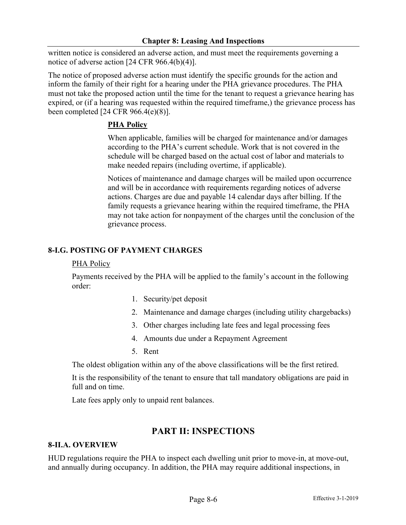written notice is considered an adverse action, and must meet the requirements governing a notice of adverse action [24 CFR 966.4(b)(4)].

The notice of proposed adverse action must identify the specific grounds for the action and inform the family of their right for a hearing under the PHA grievance procedures. The PHA must not take the proposed action until the time for the tenant to request a grievance hearing has expired, or (if a hearing was requested within the required timeframe,) the grievance process has been completed [24 CFR 966.4(e)(8)].

# **PHA Policy**

When applicable, families will be charged for maintenance and/or damages according to the PHA's current schedule. Work that is not covered in the schedule will be charged based on the actual cost of labor and materials to make needed repairs (including overtime, if applicable).

Notices of maintenance and damage charges will be mailed upon occurrence and will be in accordance with requirements regarding notices of adverse actions. Charges are due and payable 14 calendar days after billing. If the family requests a grievance hearing within the required timeframe, the PHA may not take action for nonpayment of the charges until the conclusion of the grievance process.

# **8-I.G. POSTING OF PAYMENT CHARGES**

#### PHA Policy

Payments received by the PHA will be applied to the family's account in the following order:

- 1. Security/pet deposit
- 2. Maintenance and damage charges (including utility chargebacks)
- 3. Other charges including late fees and legal processing fees
- 4. Amounts due under a Repayment Agreement
- 5. Rent

The oldest obligation within any of the above classifications will be the first retired.

It is the responsibility of the tenant to ensure that tall mandatory obligations are paid in full and on time.

Late fees apply only to unpaid rent balances.

# **PART II: INSPECTIONS**

# **8-II.A. OVERVIEW**

HUD regulations require the PHA to inspect each dwelling unit prior to move-in, at move-out, and annually during occupancy. In addition, the PHA may require additional inspections, in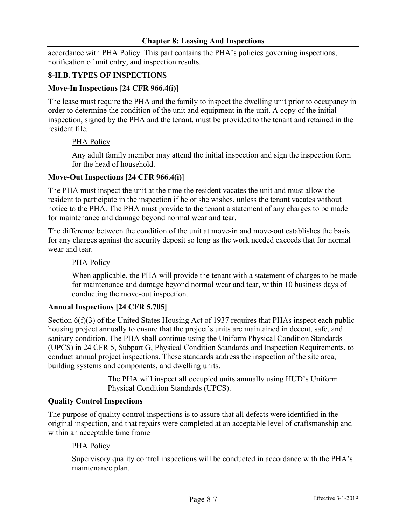accordance with PHA Policy. This part contains the PHA's policies governing inspections, notification of unit entry, and inspection results.

## **8-II.B. TYPES OF INSPECTIONS**

## **Move-In Inspections [24 CFR 966.4(i)]**

The lease must require the PHA and the family to inspect the dwelling unit prior to occupancy in order to determine the condition of the unit and equipment in the unit. A copy of the initial inspection, signed by the PHA and the tenant, must be provided to the tenant and retained in the resident file.

#### PHA Policy

Any adult family member may attend the initial inspection and sign the inspection form for the head of household.

#### **Move-Out Inspections [24 CFR 966.4(i)]**

The PHA must inspect the unit at the time the resident vacates the unit and must allow the resident to participate in the inspection if he or she wishes, unless the tenant vacates without notice to the PHA. The PHA must provide to the tenant a statement of any charges to be made for maintenance and damage beyond normal wear and tear.

The difference between the condition of the unit at move-in and move-out establishes the basis for any charges against the security deposit so long as the work needed exceeds that for normal wear and tear.

#### PHA Policy

When applicable, the PHA will provide the tenant with a statement of charges to be made for maintenance and damage beyond normal wear and tear, within 10 business days of conducting the move-out inspection.

#### **Annual Inspections [24 CFR 5.705]**

Section 6(f)(3) of the United States Housing Act of 1937 requires that PHAs inspect each public housing project annually to ensure that the project's units are maintained in decent, safe, and sanitary condition. The PHA shall continue using the Uniform Physical Condition Standards (UPCS) in 24 CFR 5, Subpart G, Physical Condition Standards and Inspection Requirements, to conduct annual project inspections. These standards address the inspection of the site area, building systems and components, and dwelling units.

> The PHA will inspect all occupied units annually using HUD's Uniform Physical Condition Standards (UPCS).

#### **Quality Control Inspections**

The purpose of quality control inspections is to assure that all defects were identified in the original inspection, and that repairs were completed at an acceptable level of craftsmanship and within an acceptable time frame

#### PHA Policy

Supervisory quality control inspections will be conducted in accordance with the PHA's maintenance plan.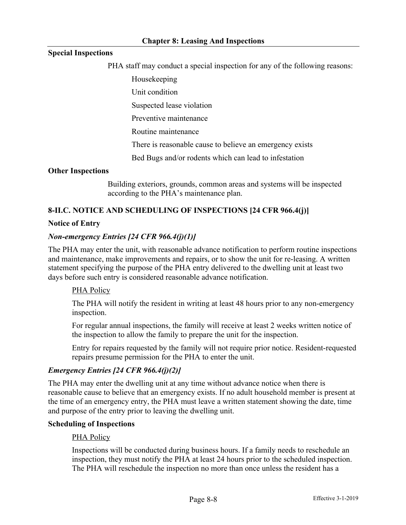## **Special Inspections**

PHA staff may conduct a special inspection for any of the following reasons:

Housekeeping

Unit condition

Suspected lease violation

Preventive maintenance

Routine maintenance

There is reasonable cause to believe an emergency exists

Bed Bugs and/or rodents which can lead to infestation

#### **Other Inspections**

Building exteriors, grounds, common areas and systems will be inspected according to the PHA's maintenance plan.

## **8-II.C. NOTICE AND SCHEDULING OF INSPECTIONS [24 CFR 966.4(j)]**

#### **Notice of Entry**

#### *Non-emergency Entries [24 CFR 966.4(j)(1)]*

The PHA may enter the unit, with reasonable advance notification to perform routine inspections and maintenance, make improvements and repairs, or to show the unit for re-leasing. A written statement specifying the purpose of the PHA entry delivered to the dwelling unit at least two days before such entry is considered reasonable advance notification.

#### PHA Policy

The PHA will notify the resident in writing at least 48 hours prior to any non-emergency inspection.

For regular annual inspections, the family will receive at least 2 weeks written notice of the inspection to allow the family to prepare the unit for the inspection.

Entry for repairs requested by the family will not require prior notice. Resident-requested repairs presume permission for the PHA to enter the unit.

#### *Emergency Entries [24 CFR 966.4(j)(2)]*

The PHA may enter the dwelling unit at any time without advance notice when there is reasonable cause to believe that an emergency exists. If no adult household member is present at the time of an emergency entry, the PHA must leave a written statement showing the date, time and purpose of the entry prior to leaving the dwelling unit.

#### **Scheduling of Inspections**

#### PHA Policy

Inspections will be conducted during business hours. If a family needs to reschedule an inspection, they must notify the PHA at least 24 hours prior to the scheduled inspection. The PHA will reschedule the inspection no more than once unless the resident has a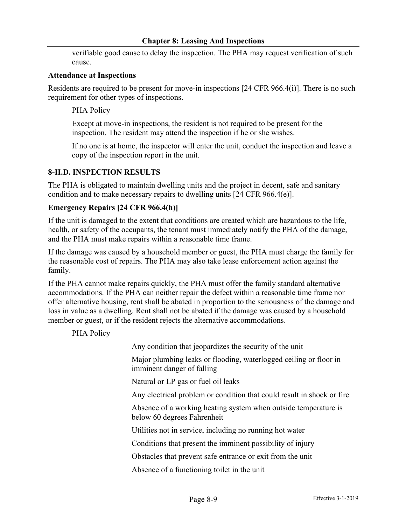#### **Chapter 8: Leasing And Inspections**

verifiable good cause to delay the inspection. The PHA may request verification of such cause.

#### **Attendance at Inspections**

Residents are required to be present for move-in inspections [24 CFR 966.4(i)]. There is no such requirement for other types of inspections.

## PHA Policy

Except at move-in inspections, the resident is not required to be present for the inspection. The resident may attend the inspection if he or she wishes.

If no one is at home, the inspector will enter the unit, conduct the inspection and leave a copy of the inspection report in the unit.

## **8-II.D. INSPECTION RESULTS**

The PHA is obligated to maintain dwelling units and the project in decent, safe and sanitary condition and to make necessary repairs to dwelling units [24 CFR 966.4(e)].

## **Emergency Repairs [24 CFR 966.4(h)]**

If the unit is damaged to the extent that conditions are created which are hazardous to the life, health, or safety of the occupants, the tenant must immediately notify the PHA of the damage, and the PHA must make repairs within a reasonable time frame.

If the damage was caused by a household member or guest, the PHA must charge the family for the reasonable cost of repairs. The PHA may also take lease enforcement action against the family.

If the PHA cannot make repairs quickly, the PHA must offer the family standard alternative accommodations. If the PHA can neither repair the defect within a reasonable time frame nor offer alternative housing, rent shall be abated in proportion to the seriousness of the damage and loss in value as a dwelling. Rent shall not be abated if the damage was caused by a household member or guest, or if the resident rejects the alternative accommodations.

#### PHA Policy

Any condition that jeopardizes the security of the unit

Major plumbing leaks or flooding, waterlogged ceiling or floor in imminent danger of falling

Natural or LP gas or fuel oil leaks

Any electrical problem or condition that could result in shock or fire

Absence of a working heating system when outside temperature is below 60 degrees Fahrenheit

Utilities not in service, including no running hot water

Conditions that present the imminent possibility of injury

Obstacles that prevent safe entrance or exit from the unit

Absence of a functioning toilet in the unit